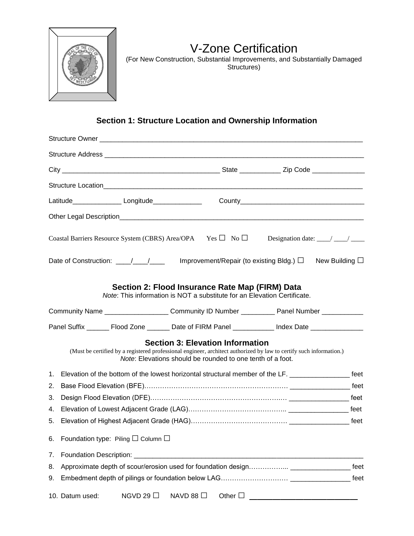

# V-Zone Certification

(For New Construction, Substantial Improvements, and Substantially Damaged Structures)

# **Section 1: Structure Location and Ownership Information**

|    |                                              |                |           | Coastal Barriers Resource System (CBRS) Area/OPA Yes $\Box$ No $\Box$ Designation date: ___/ ___/ ____                                                                                                                       |  |  |  |  |  |
|----|----------------------------------------------|----------------|-----------|------------------------------------------------------------------------------------------------------------------------------------------------------------------------------------------------------------------------------|--|--|--|--|--|
|    |                                              |                |           | Improvement/Repair (to existing Bldg.) $\Box$ New Building $\Box$                                                                                                                                                            |  |  |  |  |  |
|    |                                              |                |           | Section 2: Flood Insurance Rate Map (FIRM) Data<br>Note: This information is NOT a substitute for an Elevation Certificate.                                                                                                  |  |  |  |  |  |
|    |                                              |                |           | Community Name ________________________Community ID Number ____________ Panel Number ______________                                                                                                                          |  |  |  |  |  |
|    |                                              |                |           | Panel Suffix ________ Flood Zone _________ Date of FIRM Panel _____________ Index Date ______________                                                                                                                        |  |  |  |  |  |
|    |                                              |                |           | <b>Section 3: Elevation Information</b><br>(Must be certified by a registered professional engineer, architect authorized by law to certify such information.)<br>Note: Elevations should be rounded to one tenth of a foot. |  |  |  |  |  |
| 1. |                                              |                |           | Elevation of the bottom of the lowest horizontal structural member of the LF. __________________ feet                                                                                                                        |  |  |  |  |  |
| 2. |                                              |                |           |                                                                                                                                                                                                                              |  |  |  |  |  |
| 3. |                                              |                |           |                                                                                                                                                                                                                              |  |  |  |  |  |
| 4. |                                              |                |           |                                                                                                                                                                                                                              |  |  |  |  |  |
| 5. |                                              |                |           |                                                                                                                                                                                                                              |  |  |  |  |  |
| 6. | Foundation type: Piling $\Box$ Column $\Box$ |                |           |                                                                                                                                                                                                                              |  |  |  |  |  |
| 7. | <b>Foundation Description:</b>               |                |           |                                                                                                                                                                                                                              |  |  |  |  |  |
| 8. | feet                                         |                |           |                                                                                                                                                                                                                              |  |  |  |  |  |
| 9. | feet                                         |                |           |                                                                                                                                                                                                                              |  |  |  |  |  |
|    | 10. Datum used:                              | NGVD 29 $\Box$ | NAVD 88 □ | Other $\square$                                                                                                                                                                                                              |  |  |  |  |  |